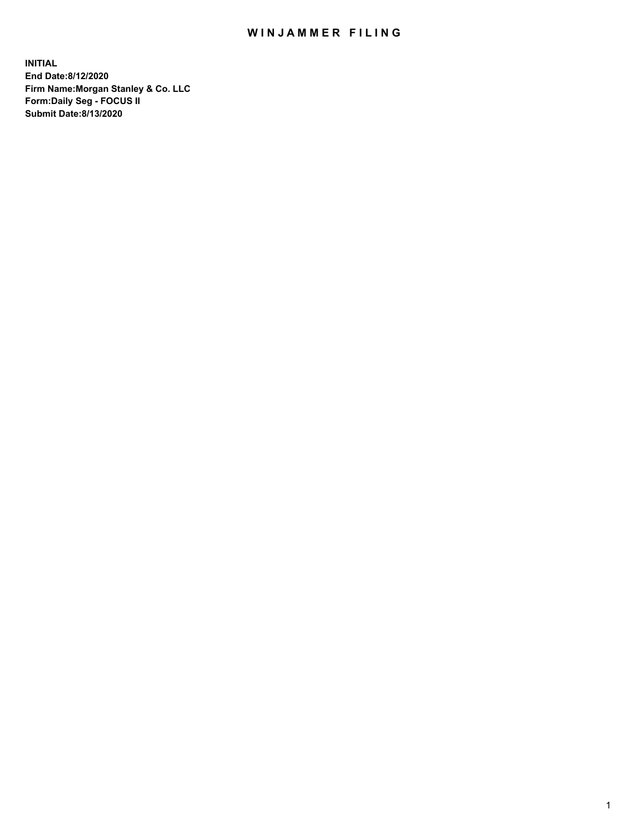## WIN JAMMER FILING

**INITIAL End Date:8/12/2020 Firm Name:Morgan Stanley & Co. LLC Form:Daily Seg - FOCUS II Submit Date:8/13/2020**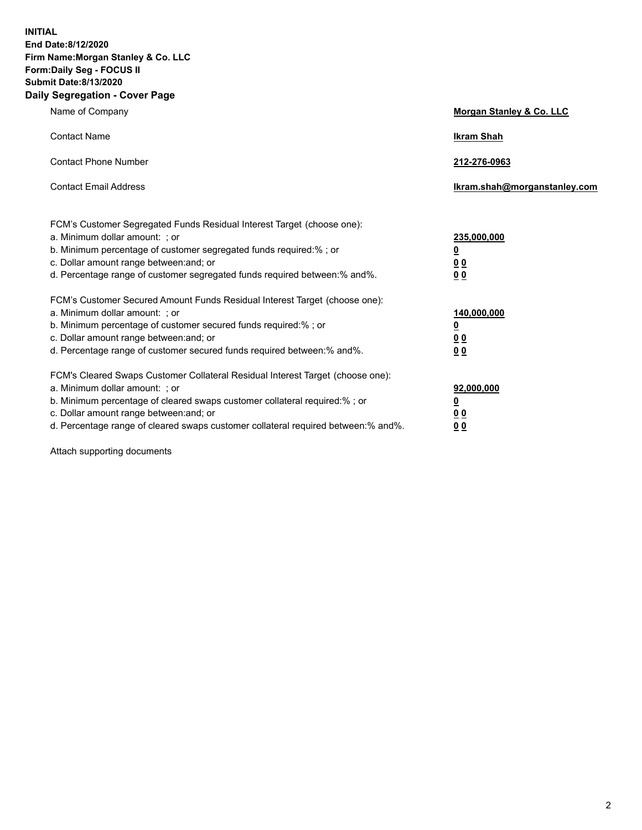**INITIAL End Date:8/12/2020 Firm Name:Morgan Stanley & Co. LLC Form:Daily Seg - FOCUS II Submit Date:8/13/2020 Daily Segregation - Cover Page**

| Name of Company                                                                                                                                                                                                                                                                                                                | Morgan Stanley & Co. LLC                               |
|--------------------------------------------------------------------------------------------------------------------------------------------------------------------------------------------------------------------------------------------------------------------------------------------------------------------------------|--------------------------------------------------------|
| <b>Contact Name</b>                                                                                                                                                                                                                                                                                                            | <b>Ikram Shah</b>                                      |
| <b>Contact Phone Number</b>                                                                                                                                                                                                                                                                                                    | 212-276-0963                                           |
| <b>Contact Email Address</b>                                                                                                                                                                                                                                                                                                   | Ikram.shah@morganstanley.com                           |
| FCM's Customer Segregated Funds Residual Interest Target (choose one):<br>a. Minimum dollar amount: ; or<br>b. Minimum percentage of customer segregated funds required:% ; or<br>c. Dollar amount range between: and; or<br>d. Percentage range of customer segregated funds required between: % and %.                       | 235,000,000<br><u>0</u><br>00<br>0 <sub>0</sub>        |
| FCM's Customer Secured Amount Funds Residual Interest Target (choose one):<br>a. Minimum dollar amount: ; or<br>b. Minimum percentage of customer secured funds required:% ; or<br>c. Dollar amount range between: and; or<br>d. Percentage range of customer secured funds required between:% and%.                           | 140,000,000<br><u>0</u><br><u>00</u><br>0 <sub>0</sub> |
| FCM's Cleared Swaps Customer Collateral Residual Interest Target (choose one):<br>a. Minimum dollar amount: ; or<br>b. Minimum percentage of cleared swaps customer collateral required:% ; or<br>c. Dollar amount range between: and; or<br>d. Percentage range of cleared swaps customer collateral required between:% and%. | 92,000,000<br><u>0</u><br><u>00</u><br>00              |

Attach supporting documents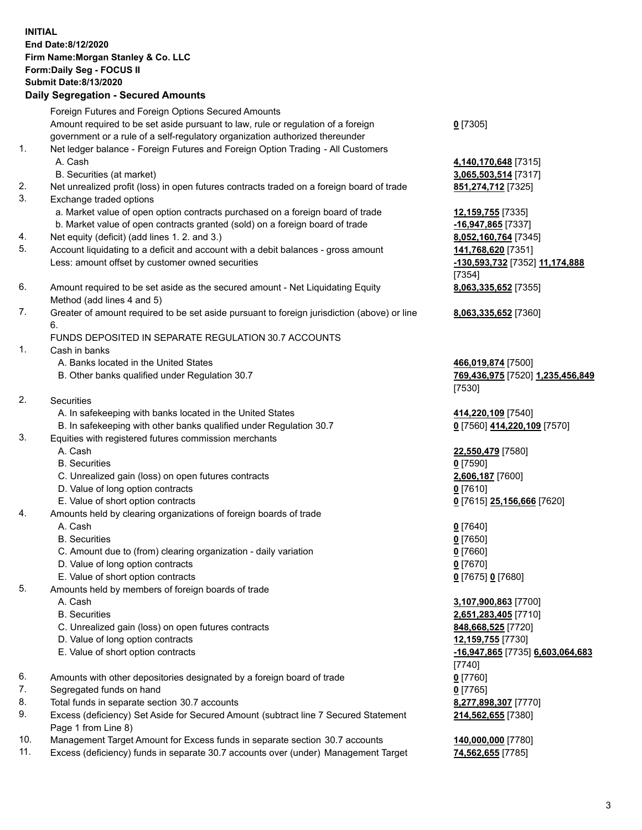## **INITIAL End Date:8/12/2020 Firm Name:Morgan Stanley & Co. LLC Form:Daily Seg - FOCUS II Submit Date:8/13/2020 Daily Segregation - Secured Amounts** Foreign Futures and Foreign Options Secured Amounts Amount required to be set aside pursuant to law, rule or regulation of a foreign government or a rule of a self-regulatory organization authorized thereunder **0** [7305] 1. Net ledger balance - Foreign Futures and Foreign Option Trading - All Customers A. Cash **4,140,170,648** [7315] B. Securities (at market) **3,065,503,514** [7317] 2. Net unrealized profit (loss) in open futures contracts traded on a foreign board of trade **851,274,712** [7325] 3. Exchange traded options a. Market value of open option contracts purchased on a foreign board of trade **12,159,755** [7335] b. Market value of open contracts granted (sold) on a foreign board of trade **-16,947,865** [7337] 4. Net equity (deficit) (add lines 1. 2. and 3.) **8,052,160,764** [7345] 5. Account liquidating to a deficit and account with a debit balances - gross amount **141,768,620** [7351] Less: amount offset by customer owned securities **-130,593,732** [7352] **11,174,888** 6. Amount required to be set aside as the secured amount - Net Liquidating Equity Method (add lines 4 and 5) 7. Greater of amount required to be set aside pursuant to foreign jurisdiction (above) or line 6. FUNDS DEPOSITED IN SEPARATE REGULATION 30.7 ACCOUNTS 1. Cash in banks A. Banks located in the United States **466,019,874** [7500] B. Other banks qualified under Regulation 30.7 **769,436,975** [7520] **1,235,456,849** 2. Securities A. In safekeeping with banks located in the United States **414,220,109** [7540] B. In safekeeping with other banks qualified under Regulation 30.7 **0** [7560] **414,220,109** [7570] 3. Equities with registered futures commission merchants A. Cash **22,550,479** [7580] B. Securities **0** [7590] C. Unrealized gain (loss) on open futures contracts **2,606,187** [7600] D. Value of long option contracts **0** [7610] E. Value of short option contracts **0** [7615] **25,156,666** [7620] 4. Amounts held by clearing organizations of foreign boards of trade A. Cash **0** [7640] B. Securities **0** [7650] C. Amount due to (from) clearing organization - daily variation **0** [7660] D. Value of long option contracts **0** [7670] E. Value of short option contracts **0** [7675] **0** [7680] 5. Amounts held by members of foreign boards of trade A. Cash **3,107,900,863** [7700] B. Securities **2,651,283,405** [7710] C. Unrealized gain (loss) on open futures contracts **848,668,525** [7720] D. Value of long option contracts **12,159,755** [7730] E. Value of short option contracts **-16,947,865** [7735] **6,603,064,683** 6. Amounts with other depositories designated by a foreign board of trade **0** [7760]

- 7. Segregated funds on hand **0** [7765]
- 8. Total funds in separate section 30.7 accounts **8,277,898,307** [7770]
- 9. Excess (deficiency) Set Aside for Secured Amount (subtract line 7 Secured Statement Page 1 from Line 8)
- 10. Management Target Amount for Excess funds in separate section 30.7 accounts **140,000,000** [7780]
- 11. Excess (deficiency) funds in separate 30.7 accounts over (under) Management Target **74,562,655** [7785]

[7354] **8,063,335,652** [7355]

**8,063,335,652** [7360]

[7530]

[7740] **214,562,655** [7380]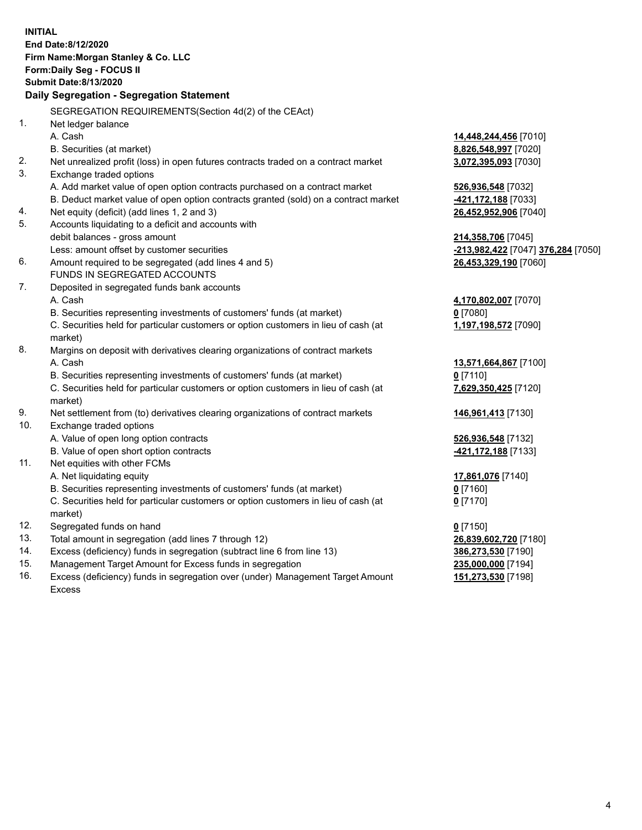|     | <b>INITIAL</b><br>End Date: 8/12/2020<br>Firm Name: Morgan Stanley & Co. LLC<br>Form: Daily Seg - FOCUS II |                                           |
|-----|------------------------------------------------------------------------------------------------------------|-------------------------------------------|
|     | <b>Submit Date: 8/13/2020</b>                                                                              |                                           |
|     | Daily Segregation - Segregation Statement                                                                  |                                           |
|     | SEGREGATION REQUIREMENTS(Section 4d(2) of the CEAct)                                                       |                                           |
| 1.  | Net ledger balance                                                                                         |                                           |
|     | A. Cash                                                                                                    | 14,448,244,456 [7010]                     |
|     | B. Securities (at market)                                                                                  | 8,826,548,997 [7020]                      |
| 2.  | Net unrealized profit (loss) in open futures contracts traded on a contract market                         | 3,072,395,093 [7030]                      |
| 3.  | Exchange traded options                                                                                    |                                           |
|     | A. Add market value of open option contracts purchased on a contract market                                | 526,936,548 [7032]                        |
|     | B. Deduct market value of open option contracts granted (sold) on a contract market                        | -421,172,188 [7033]                       |
| 4.  | Net equity (deficit) (add lines 1, 2 and 3)                                                                | 26,452,952,906 [7040]                     |
| 5.  | Accounts liquidating to a deficit and accounts with                                                        |                                           |
|     | debit balances - gross amount                                                                              | 214,358,706 [7045]                        |
|     | Less: amount offset by customer securities                                                                 | <u>-213,982,422</u> [7047] 376,284 [7050] |
| 6.  | Amount required to be segregated (add lines 4 and 5)                                                       | 26,453,329,190 [7060]                     |
|     | FUNDS IN SEGREGATED ACCOUNTS                                                                               |                                           |
| 7.  | Deposited in segregated funds bank accounts                                                                |                                           |
|     | A. Cash                                                                                                    | 4,170,802,007 [7070]                      |
|     | B. Securities representing investments of customers' funds (at market)                                     | $0$ [7080]                                |
|     | C. Securities held for particular customers or option customers in lieu of cash (at                        | 1,197,198,572 [7090]                      |
|     | market)                                                                                                    |                                           |
| 8.  | Margins on deposit with derivatives clearing organizations of contract markets                             |                                           |
|     | A. Cash                                                                                                    | 13,571,664,867 [7100]                     |
|     | B. Securities representing investments of customers' funds (at market)                                     | $0$ [7110]                                |
|     | C. Securities held for particular customers or option customers in lieu of cash (at<br>market)             | 7,629,350,425 [7120]                      |
| 9.  | Net settlement from (to) derivatives clearing organizations of contract markets                            | 146,961,413 [7130]                        |
| 10. | Exchange traded options                                                                                    |                                           |
|     | A. Value of open long option contracts                                                                     | 526,936,548 [7132]                        |
|     | B. Value of open short option contracts                                                                    | -421,172,188 [7133]                       |
| 11. | Net equities with other FCMs                                                                               |                                           |
|     | A. Net liquidating equity                                                                                  | 17,861,076 [7140]                         |
|     | B. Securities representing investments of customers' funds (at market)                                     | $0$ [7160]                                |
|     | C. Securities held for particular customers or option customers in lieu of cash (at                        | $0$ [7170]                                |
|     | market)                                                                                                    |                                           |
| 12. | Segregated funds on hand                                                                                   | $0$ [7150]                                |
| 13. | Total amount in segregation (add lines 7 through 12)                                                       | 26,839,602,720 [7180]                     |
| 14. | Excess (deficiency) funds in segregation (subtract line 6 from line 13)                                    | 386,273,530 [7190]                        |
| 15. | Management Target Amount for Excess funds in segregation                                                   | 235,000,000 [7194]                        |
| 16. | Excess (deficiency) funds in segregation over (under) Management Target Amount                             | 151,273,530 [7198]                        |

16. Excess (deficiency) funds in segregation over (under) Management Target Amount Excess